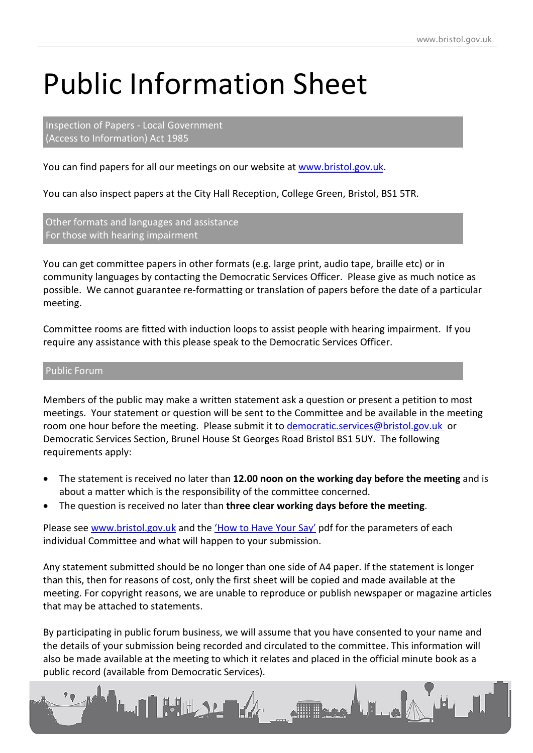## Public Information Sheet

Inspection of Papers - Local Government (Access to Information) Act 1985

You can find papers for all our meetings on our website at [www.bristol.gov.uk.](http://www.bristol.gov.uk/)

You can also inspect papers at the City Hall Reception, College Green, Bristol, BS1 5TR.

Other formats and languages and assistance For those with hearing impairment

You can get committee papers in other formats (e.g. large print, audio tape, braille etc) or in community languages by contacting the Democratic Services Officer. Please give as much notice as possible. We cannot guarantee re-formatting or translation of papers before the date of a particular meeting.

Committee rooms are fitted with induction loops to assist people with hearing impairment. If you require any assistance with this please speak to the Democratic Services Officer.

## Public Forum

Members of the public may make a written statement ask a question or present a petition to most meetings. Your statement or question will be sent to the Committee and be available in the meeting room one hour before the meeting. Please submit it to [democratic.services@bristol.gov.uk](mailto:democratic.services@bristol.gov.uk) or Democratic Services Section, Brunel House St Georges Road Bristol BS1 5UY. The following requirements apply:

- The statement is received no later than **12.00 noon on the working day before the meeting** and is about a matter which is the responsibility of the committee concerned.
- The question is received no later than **three clear working days before the meeting**.

Please see [www.bristol.gov.uk](http://www.bristol.gov.uk/) and the ['How to Have Your Say'](https://www.bristol.gov.uk/documents/20182/138133/bc-how-to-have-your-say-at-public%20meetings.pdf/71c6217a-950d-408d-b863-948f383bcda6) pdf for the parameters of each individual Committee and what will happen to your submission.

Any statement submitted should be no longer than one side of A4 paper. If the statement is longer than this, then for reasons of cost, only the first sheet will be copied and made available at the meeting. For copyright reasons, we are unable to reproduce or publish newspaper or magazine articles that may be attached to statements.

By participating in public forum business, we will assume that you have consented to your name and the details of your submission being recorded and circulated to the committee. This information will also be made available at the meeting to which it relates and placed in the official minute book as a public record (available from Democratic Services).